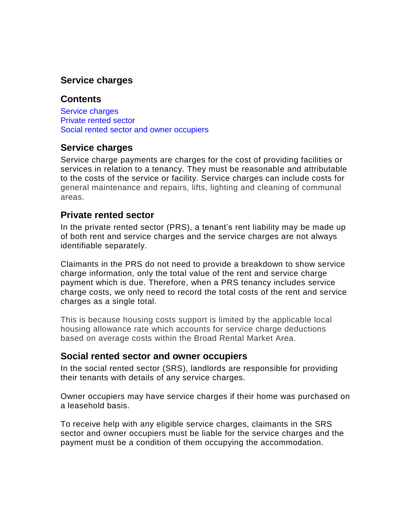# **Service charges**

#### **Contents**

Service [charges](https://intranet.dwp.gov.uk/policy/service-charges#_Service_charges) [Private](https://intranet.dwp.gov.uk/policy/service-charges#prs) rented sector Social rented sector and owner [occupiers](https://intranet.dwp.gov.uk/policy/service-charges#_Social_rented_sector)

## **Service charges**

Service charge payments are charges for the cost of providing facilities or services in relation to a tenancy. They must be reasonable and attributable to the costs of the service or facility. Service charges can include costs for general maintenance and repairs, lifts, lighting and cleaning of communal areas.

## **Private rented sector**

In the private rented sector (PRS), a tenant's rent liability may be made up of both rent and service charges and the service charges are not always identifiable separately.

Claimants in the PRS do not need to provide a breakdown to show service charge information, only the total value of the rent and service charge payment which is due. Therefore, when a PRS tenancy includes service charge costs, we only need to record the total costs of the rent and service charges as a single total.

This is because housing costs support is limited by the applicable local housing allowance rate which accounts for service charge deductions based on average costs within the Broad Rental Market Area.

#### **Social rented sector and owner occupiers**

In the social rented sector (SRS), landlords are responsible for providing their tenants with details of any service charges.

Owner occupiers may have service charges if their home was purchased on a leasehold basis.

To receive help with any eligible service charges, claimants in the SRS sector and owner occupiers must be liable for the service charges and the payment must be a condition of them occupying the accommodation.